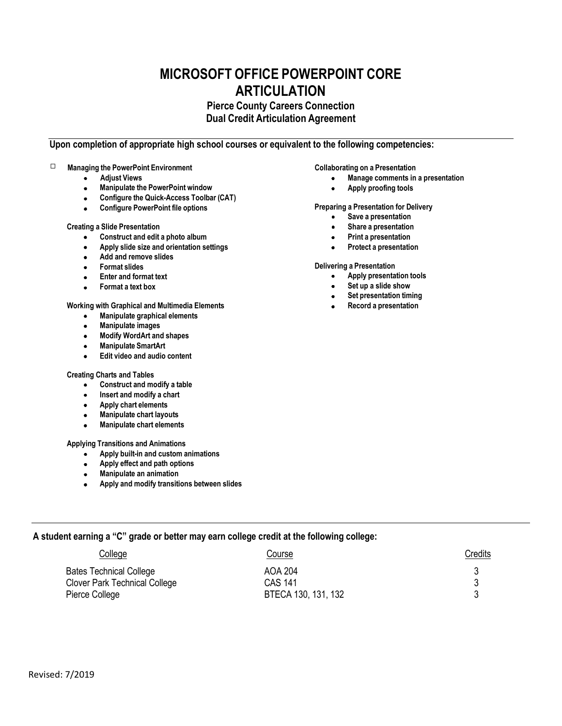# **MICROSOFT OFFICE POWERPOINT CORE ARTICULATION**

# **Pierce County Careers Connection Dual Credit Articulation Agreement**

# **Upon completion of appropriate high school courses or equivalent to the following competencies:**

# **Managing the PowerPoint Environment**

- **Adjust Views**  $\bullet$
- **Manipulate the PowerPoint window**   $\bullet$
- **Configure the Quick-Access Toolbar (CAT)**  $\bullet$
- $\bullet$ **Configure PowerPoint file options**

# **Creating a Slide Presentation**

- **Construct and edit a photo album**
- **Apply slide size and orientation settings**
- $\bullet$ **Add and remove slides**
- **Format slides**  $\bullet$
- **Enter and format text**
- **Format a text box**

### **Working with Graphical and Multimedia Elements**

- **Manipulate graphical elements**
- **Manipulate images**
- **Modify WordArt and shapes**   $\bullet$
- **Manipulate SmartArt**
- **Edit video and audio content**

#### **Creating Charts and Tables**

- $\bullet$ **Construct and modify a table**
- **Insert and modify a chart**
- **Apply chart elements**   $\bullet$
- **Manipulate chart layouts**   $\bullet$
- **Manipulate chart elements**

# **Applying Transitions and Animations**

- **Apply built-in and custom animations**
- **Apply effect and path options**
- **Manipulate an animation**
- **Apply and modify transitions between slides**

# **A student earning a "C" grade or better may earn college credit at the following college:**

| College                              | Course              | <u>Credits</u> |
|--------------------------------------|---------------------|----------------|
| <b>Bates Technical College</b>       | AOA 204             |                |
| <b>Clover Park Technical College</b> | CAS 141             |                |
| Pierce College                       | BTECA 130, 131, 132 |                |

**Collaborating on a Presentation**

- **Manage comments in a presentation**  $\bullet$
- **Apply proofing tools**  $\bullet$

# **Preparing a Presentation for Delivery**

- **Save a presentation**
- **Share a presentation**
- **Print a presentation**
- **Protect a presentation**

#### **Delivering a Presentation**

- **Apply presentation tools**
- **Set up a slide show**
- **Set presentation timing**  $\bullet$
- **Record a presentation**